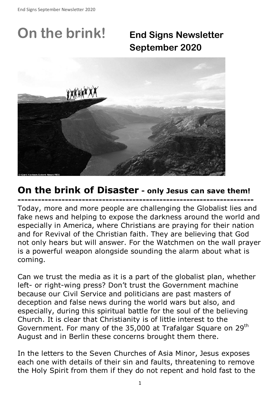# **On the brink! End Signs Newsletter**

**September 2020**



## **On the brink of Disaster - only Jesus can save them!**

**----------------------------------------------------------------------**  Today, more and more people are challenging the Globalist lies and fake news and helping to expose the darkness around the world and especially in America, where Christians are praying for their nation and for Revival of the Christian faith. They are believing that God not only hears but will answer. For the Watchmen on the wall prayer is a powerful weapon alongside sounding the alarm about what is coming.

Can we trust the media as it is a part of the globalist plan, whether left- or right-wing press? Don't trust the Government machine because our Civil Service and politicians are past masters of deception and false news during the world wars but also, and especially, during this spiritual battle for the soul of the believing Church. It is clear that Christianity is of little interest to the Government. For many of the 35,000 at Trafalgar Square on 29<sup>th</sup> August and in Berlin these concerns brought them there.

In the letters to the Seven Churches of Asia Minor, Jesus exposes each one with details of their sin and faults, threatening to remove the Holy Spirit from them if they do not repent and hold fast to the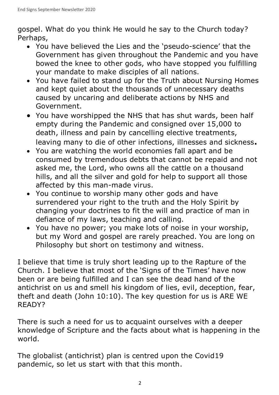gospel. What do you think He would he say to the Church today? Perhaps,

- You have believed the Lies and the 'pseudo-science' that the Government has given throughout the Pandemic and you have bowed the knee to other gods, who have stopped you fulfilling your mandate to make disciples of all nations.
- You have failed to stand up for the Truth about Nursing Homes and kept quiet about the thousands of unnecessary deaths caused by uncaring and deliberate actions by NHS and Government.
- You have worshipped the NHS that has shut wards, been half empty during the Pandemic and consigned over 15,000 to death, illness and pain by cancelling elective treatments, leaving many to die of other infections, illnesses and sickness**.**
- You are watching the world economies fall apart and be consumed by tremendous debts that cannot be repaid and not asked me, the Lord, who owns all the cattle on a thousand hills, and all the silver and gold for help to support all those affected by this man-made virus.
- You continue to worship many other gods and have surrendered your right to the truth and the Holy Spirit by changing your doctrines to fit the will and practice of man in defiance of my laws, teaching and calling.
- You have no power; you make lots of noise in your worship, but my Word and gospel are rarely preached. You are long on Philosophy but short on testimony and witness.

I believe that time is truly short leading up to the Rapture of the Church. I believe that most of the 'Signs of the Times' have now been or are being fulfilled and I can see the dead hand of the antichrist on us and smell his kingdom of lies, evil, deception, fear, theft and death (John 10:10). The key question for us is ARE WE READY?

There is such a need for us to acquaint ourselves with a deeper knowledge of Scripture and the facts about what is happening in the world.

The globalist (antichrist) plan is centred upon the Covid19 pandemic, so let us start with that this month.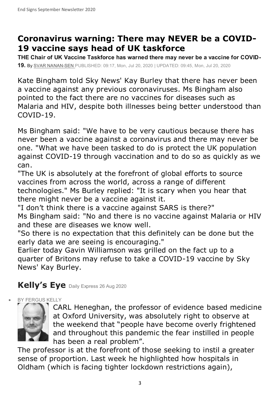## **Coronavirus warning: There may NEVER be a COVID-19 vaccine says head of UK taskforce**

**THE Chair of UK Vaccine Taskforce has warned there may never be a vaccine for COVID-19.** By SVAR NANAN-SEN PUBLISHED: 09:17, Mon, Jul 20, 2020 | UPDATED: 09:45, Mon, Jul 20, 2020

Kate Bingham told Sky News' Kay Burley that there has never been a vaccine against any previous coronaviruses. Ms Bingham also pointed to the fact there are no vaccines for diseases such as Malaria and HIV, despite both illnesses being better understood than COVID-19.

Ms Bingham said: "We have to be very cautious because there has never been a vaccine against a coronavirus and there may never be one. "What we have been tasked to do is protect the UK population against COVID-19 through vaccination and to do so as quickly as we can.

"The UK is absolutely at the forefront of global efforts to source vaccines from across the world, across a range of different technologies." Ms Burley replied: "It is scary when you hear that there might never be a vaccine against it.

"I don't think there is a vaccine against SARS is there?" Ms Bingham said: "No and there is no vaccine against Malaria or HIV and these are diseases we know well.

"So there is no expectation that this definitely can be done but the early data we are seeing is encouraging."

Earlier today Gavin Williamson was grilled on the fact up to a quarter of Britons may refuse to take a COVID-19 vaccine by Sky News' Kay Burley.

## **Kelly's Eye** Daily Express 26 Aug 2020

BY FERGUS KELLY



CARL Heneghan, the professor of evidence based medicine at Oxford University, was absolutely right to observe at the weekend that "people have become overly frightened and throughout this pandemic the fear instilled in people has been a real problem".

The professor is at the forefront of those seeking to instil a greater sense of proportion. Last week he highlighted how hospitals in Oldham (which is facing tighter lockdown restrictions again),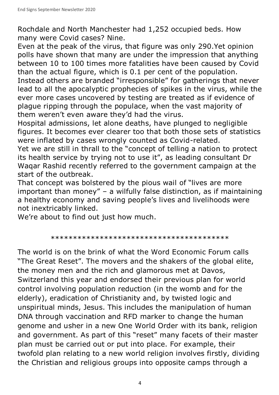Rochdale and North Manchester had 1,252 occupied beds. How many were Covid cases? Nine.

Even at the peak of the virus, that figure was only 290.Yet opinion polls have shown that many are under the impression that anything between 10 to 100 times more fatalities have been caused by Covid than the actual figure, which is 0.1 per cent of the population. Instead others are branded "irresponsible" for gatherings that never lead to all the apocalyptic prophecies of spikes in the virus, while the ever more cases uncovered by testing are treated as if evidence of plague ripping through the populace, when the vast majority of them weren't even aware they'd had the virus.

Hospital admissions, let alone deaths, have plunged to negligible figures. It becomes ever clearer too that both those sets of statistics were inflated by cases wrongly counted as Covid-related.

Yet we are still in thrall to the "concept of telling a nation to protect its health service by trying not to use it", as leading consultant Dr Waqar Rashid recently referred to the government campaign at the start of the outbreak.

That concept was bolstered by the pious wail of "lives are more important than money" – a wilfully false distinction, as if maintaining a healthy economy and saving people's lives and livelihoods were not inextricably linked.

We're about to find out just how much.

#### \*\*\*\*\*\*\*\*\*\*\*\*\*\*\*\*\*\*\*\*\*\*\*\*\*\*\*\*\*\*\*\*\*\*\*\*\*\*\*\*

The world is on the brink of what the Word Economic Forum calls "The Great Reset". The movers and the shakers of the global elite, the money men and the rich and glamorous met at Davos, Switzerland this year and endorsed their previous plan for world control involving population reduction (in the womb and for the elderly), eradication of Christianity and, by twisted logic and unspiritual minds, Jesus. This includes the manipulation of human DNA through vaccination and RFD marker to change the human genome and usher in a new One World Order with its bank, religion and government. As part of this "reset" many facets of their master plan must be carried out or put into place. For example, their twofold plan relating to a new world religion involves firstly, dividing the Christian and religious groups into opposite camps through a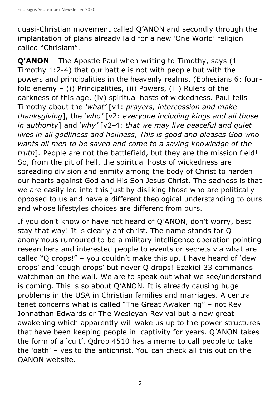quasi-Christian movement called Q'ANON and secondly through the implantation of plans already laid for a new 'One World' religion called "Chrislam".

**Q'ANON** – The Apostle Paul when writing to Timothy, says (1 Timothy 1:2-4) that our battle is not with people but with the powers and principalities in the heavenly realms. (Ephesians 6: fourfold enemy – (i) Principalities, (ii) Powers, (iii) Rulers of the darkness of this age, (iv) spiritual hosts of wickedness. Paul tells Timothy about the *'what'* [v1: *prayers, intercession and make thanksgiving*], the *'who'* [v2: *everyone including kings and all those in authority*] and *'why'* [v2-4: *that we may live peaceful and quiet lives in all godliness and holiness*, *This is good and pleases God who wants all men to be saved and come to a saving knowledge of the truth*]*.* People are not the battlefield, but they are the mission field! So, from the pit of hell, the spiritual hosts of wickedness are spreading division and enmity among the body of Christ to harden our hearts against God and His Son Jesus Christ. The sadness is that we are easily led into this just by disliking those who are politically opposed to us and have a different theological understanding to ours and whose lifestyles choices are different from ours.

If you don't know or have not heard of Q'ANON, don't worry, best stay that way! It is clearly antichrist. The name stands for Q anonymous rumoured to be a military intelligence operation pointing researchers and interested people to events or secrets via what are called "Q drops!" – you couldn't make this up, I have heard of 'dew drops' and 'cough drops' but never Q drops! Ezekiel 33 commands watchman on the wall. We are to speak out what we see/understand is coming. This is so about Q'ANON. It is already causing huge problems in the USA in Christian families and marriages. A central tenet concerns what is called "The Great Awakening" – not Rev Johnathan Edwards or The Wesleyan Revival but a new great awakening which apparently will wake us up to the power structures that have been keeping people in captivity for years. Q'ANON takes the form of a 'cult'. Qdrop 4510 has a meme to call people to take the 'oath' – yes to the antichrist. You can check all this out on the QANON website.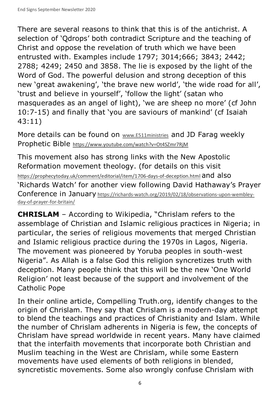There are several reasons to think that this is of the antichrist. A selection of 'Qdrops' both contradict Scripture and the teaching of Christ and oppose the revelation of truth which we have been entrusted with. Examples include 1797; 3014;666; 3843; 2442; 2788; 4249; 2450 and 3858. The lie is exposed by the light of the Word of God. The powerful delusion and strong deception of this new 'great awakening', 'the brave new world', 'the wide road for all', 'trust and believe in yourself', 'follow the light' (satan who masquerades as an angel of light), 'we are sheep no more' (cf John 10:7-15) and finally that 'you are saviours of mankind' (cf Isaiah 43:11)

More details can be found on www.E511ministries and JD Farag weekly Prophetic Bible https://www.youtube.com/watch?v=Ot4SZmr7RjM

This movement also has strong links with the New Apostolic Reformation movement theology. (for details on this visit https://prophecytoday.uk/comment/editorial/item/1706-days-of-deception.html and also 'Richards Watch' for another view following David Hathaway's Prayer Conference in January https://richards-watch.org/2019/02/18/observations-upon-wembleyday-of-prayer-for-britain/

**CHRISLAM** – According to Wikipedia, "Chrislam refers to the assemblage of Christian and Islamic religious practices in Nigeria; in particular, the series of religious movements that merged Christian and Islamic religious practice during the 1970s in Lagos, Nigeria. The movement was pioneered by Yoruba peoples in south-west Nigeria". As Allah is a false God this religion syncretizes truth with deception. Many people think that this will be the new 'One World Religion' not least because of the support and involvement of the Catholic Pope

In their online article, Compelling Truth.org, identify changes to the origin of Chrislam. They say that Chrislam is a modern-day attempt to blend the teachings and practices of Christianity and Islam. While the number of Chrislam adherents in Nigeria is few, the concepts of Chrislam have spread worldwide in recent years. Many have claimed that the interfaith movements that incorporate both Christian and Muslim teaching in the West are Chrislam, while some Eastern movements have used elements of both religions in blended, syncretistic movements. Some also wrongly confuse Chrislam with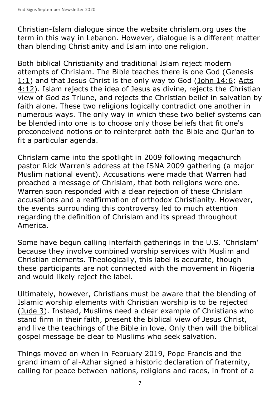Christian-Islam dialogue since the website chrislam.org uses the term in this way in Lebanon. However, dialogue is a different matter than blending Christianity and Islam into one religion.

Both biblical Christianity and traditional Islam reject modern attempts of Chrislam. The Bible teaches there is one God (Genesis 1:1) and that Jesus Christ is the only way to God (John 14:6; Acts 4:12). Islam rejects the idea of Jesus as divine, rejects the Christian view of God as Triune, and rejects the Christian belief in salvation by faith alone. These two religions logically contradict one another in numerous ways. The only way in which these two belief systems can be blended into one is to choose only those beliefs that fit one's preconceived notions or to reinterpret both the Bible and Qur'an to fit a particular agenda.

Chrislam came into the spotlight in 2009 following megachurch pastor Rick Warren's address at the ISNA 2009 gathering (a major Muslim national event). Accusations were made that Warren had preached a message of Chrislam, that both religions were one. Warren soon responded with a clear rejection of these Chrislam accusations and a reaffirmation of orthodox Christianity. However, the events surrounding this controversy led to much attention regarding the definition of Chrislam and its spread throughout America.

Some have begun calling interfaith gatherings in the U.S. 'Chrislam' because they involve combined worship services with Muslim and Christian elements. Theologically, this label is accurate, though these participants are not connected with the movement in Nigeria and would likely reject the label.

Ultimately, however, Christians must be aware that the blending of Islamic worship elements with Christian worship is to be rejected (Jude 3). Instead, Muslims need a clear example of Christians who stand firm in their faith, present the biblical view of Jesus Christ, and live the teachings of the Bible in love. Only then will the biblical gospel message be clear to Muslims who seek salvation.

Things moved on when in February 2019, Pope Francis and the grand imam of al-Azhar signed a historic declaration of fraternity, calling for peace between nations, religions and races, in front of a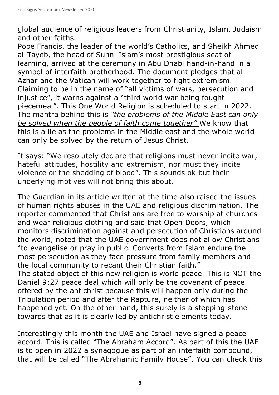global audience of religious leaders from Christianity, Islam, Judaism and other faiths.

Pope Francis, the leader of the world's Catholics, and Sheikh Ahmed al-Tayeb, the head of Sunni Islam's most prestigious seat of learning, arrived at the ceremony in Abu Dhabi hand-in-hand in a symbol of interfaith brotherhood. The document pledges that al-Azhar and the Vatican will work together to fight extremism. Claiming to be in the name of "all victims of wars, persecution and injustice", it warns against a "third world war being fought piecemeal". This One World Religion is scheduled to start in 2022. The mantra behind this is *"the problems of the Middle East can only be solved when the people of faith come together"* We know that this is a lie as the problems in the Middle east and the whole world can only be solved by the return of Jesus Christ.

It says: "We resolutely declare that religions must never incite war, hateful attitudes, hostility and extremism, nor must they incite violence or the shedding of blood". This sounds ok but their underlying motives will not bring this about.

The Guardian in its article written at the time also raised the issues of human rights abuses in the UAE and religious discrimination. The reporter commented that Christians are free to worship at churches and wear religious clothing and said that Open Doors, which monitors discrimination against and persecution of Christians around the world, noted that the UAE government does not allow Christians "to evangelise or pray in public. Converts from Islam endure the most persecution as they face pressure from family members and the local community to recant their Christian faith."

The stated object of this new religion is world peace. This is NOT the Daniel 9:27 peace deal which will only be the covenant of peace offered by the antichrist because this will happen only during the Tribulation period and after the Rapture, neither of which has happened yet. On the other hand, this surely is a stepping-stone towards that as it is clearly led by antichrist elements today.

Interestingly this month the UAE and Israel have signed a peace accord. This is called "The Abraham Accord". As part of this the UAE is to open in 2022 a synagogue as part of an interfaith compound, that will be called "The Abrahamic Family House". You can check this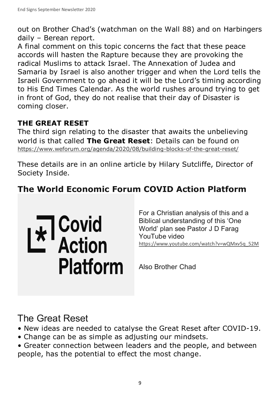out on Brother Chad's (watchman on the Wall 88) and on Harbingers daily – Berean report.

A final comment on this topic concerns the fact that these peace accords will hasten the Rapture because they are provoking the radical Muslims to attack Israel. The Annexation of Judea and Samaria by Israel is also another trigger and when the Lord tells the Israeli Government to go ahead it will be the Lord's timing according to His End Times Calendar. As the world rushes around trying to get in front of God, they do not realise that their day of Disaster is coming closer.

### **THE GREAT RESET**

The third sign relating to the disaster that awaits the unbelieving world is that called **The Great Reset**: Details can be found on https://www.weforum.org/agenda/2020/08/building-blocks-of-the-great-reset/

These details are in an online article by Hilary Sutcliffe, Director of Society Inside.

## **The World Economic Forum COVID Action Platform**

E<sup>T</sup> Covid<br>L<sup>\*</sup> Action **Platform** 

For a Christian analysis of this and a Biblical understanding of this 'One World' plan see Pastor J D Farag YouTube video https://www.youtube.com/watch?v=wQMxv5q\_52M

Also Brother Chad

## The Great Reset

- New ideas are needed to catalyse the Great Reset after COVID-19.
- Change can be as simple as adjusting our mindsets.
- Greater connection between leaders and the people, and between people, has the potential to effect the most change.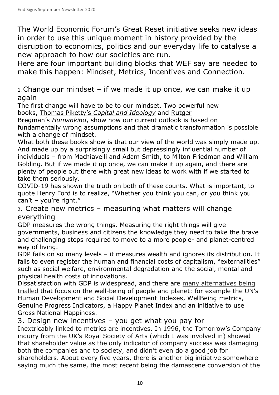The World Economic Forum's Great Reset initiative seeks new ideas in order to use this unique moment in history provided by the disruption to economics, politics and our everyday life to catalyse a new approach to how our societies are run.

Here are four important building blocks that WEF say are needed to make this happen: Mindset, Metrics, Incentives and Connection.

 $1.$  Change our mindset – if we made it up once, we can make it up again

The first change will have to be to our mindset. Two powerful new books, Thomas Piketty's *Capital and Ideology* and Rutger

Bregman's *Humankind*, show how our current outlook is based on fundamentally wrong assumptions and that dramatic transformation is possible with a change of mindset.

What both these books show is that our view of the world was simply made up. And made up by a surprisingly small but depressingly influential number of individuals – from Machiavelli and Adam Smith, to Milton Friedman and William Golding. But if we made it up once, we can make it up again, and there are plenty of people out there with great new ideas to work with if we started to take them seriously.

COVID-19 has shown the truth on both of these counts. What is important, to quote Henry Ford is to realize, "Whether you think you can, or you think you can't – you're right."

2. Create new metrics – measuring what matters will change everything

GDP measures the wrong things. Measuring the right things will give governments, business and citizens the knowledge they need to take the brave and challenging steps required to move to a more people- and planet-centred way of living.

GDP fails on so many levels – it measures wealth and ignores its distribution. It fails to even register the human and financial costs of capitalism, "externalities" such as social welfare, environmental degradation and the social, mental and physical health costs of innovations.

Dissatisfaction with GDP is widespread, and there are many alternatives being trialled that focus on the well-being of people and planet: for example the UN's Human Development and Social Development Indexes, WellBeing metrics, Genuine Progress Indicators, a Happy Planet Index and an initiative to use Gross National Happiness.

#### 3. Design new incentives – you get what you pay for

Inextricably linked to metrics are incentives. In 1996, the Tomorrow's Company inquiry from the UK's Royal Society of Arts (which I was involved in) showed that shareholder value as the only indicator of company success was damaging both the companies and to society, and didn't even do a good job for shareholders. About every five years, there is another big initiative somewhere saying much the same, the most recent being the damascene conversion of the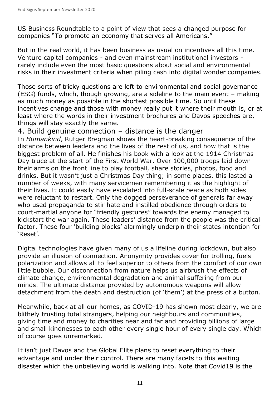US Business Roundtable to a point of view that sees a changed purpose for companies "To promote an economy that serves all Americans."

But in the real world, it has been business as usual on incentives all this time. Venture capital companies - and even mainstream institutional investors rarely include even the most basic questions about social and environmental risks in their investment criteria when piling cash into digital wonder companies.

Those sorts of tricky questions are left to environmental and social governance (ESG) funds, which, though growing, are a sideline to the main event – making as much money as possible in the shortest possible time. So until these incentives change and those with money really put it where their mouth is, or at least where the words in their investment brochures and Davos speeches are, things will stay exactly the same.

#### 4. Build genuine connection – distance is the danger

In *Humankind*, Rutger Bregman shows the heart-breaking consequence of the distance between leaders and the lives of the rest of us, and how that is the biggest problem of all. He finishes his book with a look at the 1914 Christmas Day truce at the start of the First World War. Over 100,000 troops laid down their arms on the front line to play football, share stories, photos, food and drinks. But it wasn't just a Christmas Day thing; in some places, this lasted a number of weeks, with many servicemen remembering it as the highlight of their lives. It could easily have escalated into full-scale peace as both sides were reluctant to restart. Only the dogged perseverance of generals far away who used propaganda to stir hate and instilled obedience through orders to court-martial anyone for "friendly gestures" towards the enemy managed to kickstart the war again. These leaders' distance from the people was the critical factor. These four 'building blocks' alarmingly underpin their states intention for 'Reset'.

Digital technologies have given many of us a lifeline during lockdown, but also provide an illusion of connection. Anonymity provides cover for trolling, fuels polarization and allows all to feel superior to others from the comfort of our own little bubble. Our disconnection from nature helps us airbrush the effects of climate change, environmental degradation and animal suffering from our minds. The ultimate distance provided by autonomous weapons will allow detachment from the death and destruction (of 'them') at the press of a button.

Meanwhile, back at all our homes, as COVID-19 has shown most clearly, we are blithely trusting total strangers, helping our neighbours and communities, giving time and money to charities near and far and providing billions of large and small kindnesses to each other every single hour of every single day. Which of course goes unremarked.

It isn't just Davos and the Global Elite plans to reset everything to their advantage and under their control. There are many facets to this waiting disaster which the unbelieving world is walking into. Note that Covid19 is the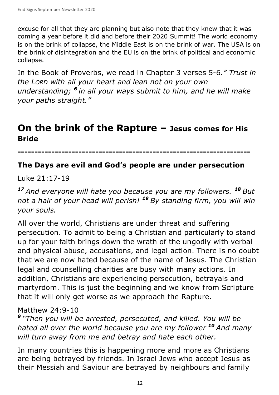excuse for all that they are planning but also note that they knew that it was coming a year before it did and before their 2020 Summit! The world economy is on the brink of collapse, the Middle East is on the brink of war. The USA is on the brink of disintegration and the EU is on the brink of political and economic collapse.

In the Book of Proverbs, we read in Chapter 3 verses 5-6*." Trust in the LORD with all your heart and lean not on your own understanding; <sup>6</sup>in all your ways submit to him, and he will make your paths straight."*

## **On the brink of the Rapture – Jesus comes for His Bride**

**---------------------------------------------------------------------** 

#### **The Days are evil and God's people are under persecution**

Luke 21:17-19

*<sup>17</sup>And everyone will hate you because you are my followers. <sup>18</sup>But not a hair of your head will perish! <sup>19</sup>By standing firm, you will win your souls.* 

All over the world, Christians are under threat and suffering persecution. To admit to being a Christian and particularly to stand up for your faith brings down the wrath of the ungodly with verbal and physical abuse, accusations, and legal action. There is no doubt that we are now hated because of the name of Jesus. The Christian legal and counselling charities are busy with many actions. In addition, Christians are experiencing persecution, betrayals and martyrdom. This is just the beginning and we know from Scripture that it will only get worse as we approach the Rapture.

#### Matthew 24:9-10

*<sup>9</sup>"Then you will be arrested, persecuted, and killed. You will be hated all over the world because you are my follower**<sup>10</sup>And many will turn away from me and betray and hate each other.* 

In many countries this is happening more and more as Christians are being betrayed by friends. In Israel Jews who accept Jesus as their Messiah and Saviour are betrayed by neighbours and family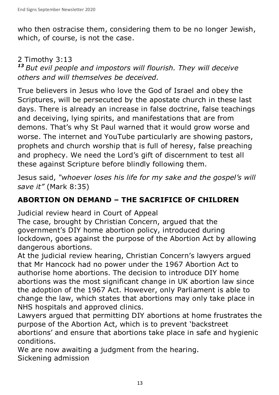who then ostracise them, considering them to be no longer Jewish, which, of course, is not the case.

#### 2 Timothy 3:13

*<sup>13</sup>But evil people and impostors will flourish. They will deceive others and will themselves be deceived.* 

True believers in Jesus who love the God of Israel and obey the Scriptures, will be persecuted by the apostate church in these last days. There is already an increase in false doctrine, false teachings and deceiving, lying spirits, and manifestations that are from demons. That's why St Paul warned that it would grow worse and worse. The internet and YouTube particularly are showing pastors, prophets and church worship that is full of heresy, false preaching and prophecy. We need the Lord's gift of discernment to test all these against Scripture before blindly following them.

Jesus said, *"whoever loses his life for my sake and the gospel's will save it"* (Mark 8:35)

### **ABORTION ON DEMAND – THE SACRIFICE OF CHILDREN**

Judicial review heard in Court of Appeal

The case, brought by Christian Concern, argued that the government's DIY home abortion policy, introduced during lockdown, goes against the purpose of the Abortion Act by allowing dangerous abortions.

At the judicial review hearing, Christian Concern's lawyers argued that Mr Hancock had no power under the 1967 Abortion Act to authorise home abortions. The decision to introduce DIY home abortions was the most significant change in UK abortion law since the adoption of the 1967 Act. However, only Parliament is able to change the law, which states that abortions may only take place in NHS hospitals and approved clinics.

Lawyers argued that permitting DIY abortions at home frustrates the purpose of the Abortion Act, which is to prevent 'backstreet abortions' and ensure that abortions take place in safe and hygienic conditions.

We are now awaiting a judgment from the hearing. Sickening admission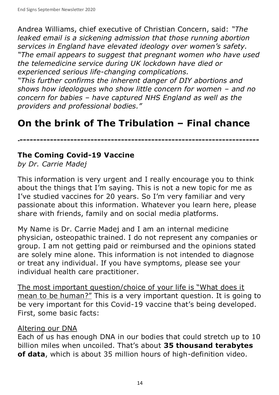Andrea Williams, chief executive of Christian Concern, said: *"The leaked email is a sickening admission that those running abortion services in England have elevated ideology over women's safety. "The email appears to suggest that pregnant women who have used the telemedicine service during UK lockdown have died or experienced serious life-changing complications.*

*"This further confirms the inherent danger of DIY abortions and shows how ideologues who show little concern for women – and no concern for babies – have captured NHS England as well as the providers and professional bodies."*

## **On the brink of The Tribulation – Final chance**

**------------------------------------------------------------------------**

#### **The Coming Covid-19 Vaccine**

*by Dr. Carrie Madej*

This information is very urgent and I really encourage you to think about the things that I'm saying. This is not a new topic for me as I've studied vaccines for 20 years. So I'm very familiar and very passionate about this information. Whatever you learn here, please share with friends, family and on social media platforms.

My Name is Dr. Carrie Madej and I am an internal medicine physician, osteopathic trained. I do not represent any companies or group. I am not getting paid or reimbursed and the opinions stated are solely mine alone. This information is not intended to diagnose or treat any individual. If you have symptoms, please see your individual health care practitioner.

The most important question/choice of your life is "What does it mean to be human?" This is a very important question. It is going to be very important for this Covid-19 vaccine that's being developed. First, some basic facts:

#### Altering our DNA

Each of us has enough DNA in our bodies that could stretch up to 10 billion miles when uncoiled. That's about **35 thousand terabytes of data**, which is about 35 million hours of high-definition video.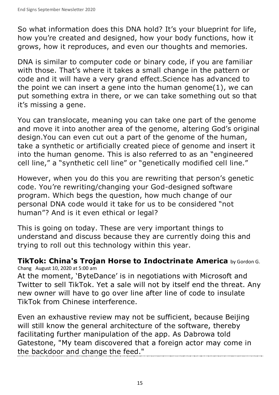So what information does this DNA hold? It's your blueprint for life, how you're created and designed, how your body functions, how it grows, how it reproduces, and even our thoughts and memories.

DNA is similar to computer code or binary code, if you are familiar with those. That's where it takes a small change in the pattern or code and it will have a very grand effect.Science has advanced to the point we can insert a gene into the human genome(1), we can put something extra in there, or we can take something out so that it's missing a gene.

You can translocate, meaning you can take one part of the genome and move it into another area of the genome, altering God's original design. You can even cut out a part of the genome of the human, take a synthetic or artificially created piece of genome and insert it into the human genome. This is also referred to as an "engineered cell line," a "synthetic cell line" or "genetically modified cell line."

However, when you do this you are rewriting that person's genetic code. You're rewriting/changing your God-designed software program. Which begs the question, how much change of our personal DNA code would it take for us to be considered "not human"? And is it even ethical or legal?

This is going on today. These are very important things to understand and discuss because they are currently doing this and trying to roll out this technology within this year.

**TikTok: China's Trojan Horse to Indoctrinate America** by Gordon G. Chang August 10, 2020 at 5:00 am

At the moment, 'ByteDance' is in negotiations with Microsoft and Twitter to sell TikTok. Yet a sale will not by itself end the threat. Any new owner will have to go over line after line of code to insulate TikTok from Chinese interference.

Even an exhaustive review may not be sufficient, because Beijing will still know the general architecture of the software, thereby facilitating further manipulation of the app. As Dabrowa told Gatestone, "My team discovered that a foreign actor may come in the backdoor and change the feed."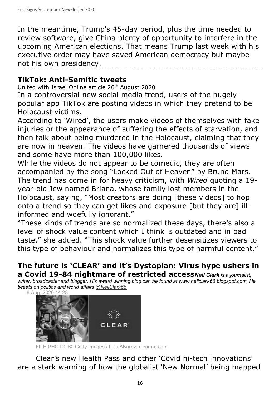In the meantime, Trump's 45-day period, plus the time needed to review software, give China plenty of opportunity to interfere in the upcoming American elections. That means Trump last week with his executive order may have saved American democracy but maybe not his own presidency.

### **TikTok: Anti-Semitic tweets**

United with Israel Online article 26<sup>th</sup> August 2020

In a controversial new social media trend, users of the hugelypopular app TikTok are posting videos in which they pretend to be Holocaust victims.

According to 'Wired', the users make videos of themselves with fake injuries or the appearance of suffering the effects of starvation, and then talk about being murdered in the Holocaust, claiming that they are now in heaven. The videos have garnered thousands of views and some have more than 100,000 likes.

While the videos do not appear to be comedic, they are often accompanied by the song "Locked Out of Heaven" by Bruno Mars. The trend has come in for heavy criticism, with *Wired* quoting a 19 year-old Jew named Briana, whose family lost members in the Holocaust, saying, "Most creators are doing [these videos] to hop onto a trend so they can get likes and exposure [but they are] illinformed and woefully ignorant."

"These kinds of trends are so normalized these days, there's also a level of shock value content which I think is outdated and in bad taste," she added. "This shock value further desensitizes viewers to this type of behaviour and normalizes this type of harmful content."

#### **The future is 'CLEAR' and it's Dystopian: Virus hype ushers in a Covid 19-84 nightmare of restricted access***Neil Clark is a journalist,*

*writer, broadcaster and blogger. His award winning blog can be found at www.neilclark66.blogspot.com. He tweets on politics and world affairs @NeilClark66*



FILE PHOTO. © Getty Images / Luis Alvarez; clearme.com

Clear's new Health Pass and other 'Covid hi-tech innovations' are a stark warning of how the globalist 'New Normal' being mapped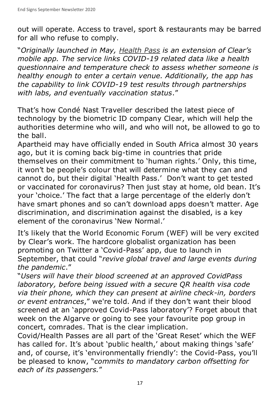out will operate. Access to travel, sport & restaurants may be barred for all who refuse to comply.

"*Originally launched in May, Health Pass is an extension of Clear's mobile app. The service links COVID-19 related data like a health questionnaire and temperature check to assess whether someone is healthy enough to enter a certain venue. Additionally, the app has the capability to link COVID-19 test results through partnerships with labs, and eventually vaccination status*."

That's how Condé Nast Traveller described the latest piece of technology by the biometric ID company Clear, which will help the authorities determine who will, and who will not, be allowed to go to the ball.

Apartheid may have officially ended in South Africa almost 30 years ago, but it is coming back big-time in countries that pride themselves on their commitment to 'human rights.' Only, this time, it won't be people's colour that will determine what they can and cannot do, but their digital 'Health Pass.' Don't want to get tested or vaccinated for coronavirus? Then just stay at home, old bean. It's your 'choice.' The fact that a large percentage of the elderly don't have smart phones and so can't download apps doesn't matter. Age discrimination, and discrimination against the disabled, is a key element of the coronavirus 'New Normal.'

It's likely that the World Economic Forum (WEF) will be very excited by Clear's work. The hardcore globalist organization has been promoting on Twitter a 'Covid-Pass' app, due to launch in September, that could "*revive global travel and large events during the pandemic*."

"*Users will have their blood screened at an approved CovidPass laboratory, before being issued with a secure QR health visa code via their phone, which they can present at airline check-in, borders or event entrances*," we're told. And if they don't want their blood screened at an 'approved Covid-Pass laboratory'? Forget about that week on the Algarve or going to see your favourite pop group in concert, comrades. That is the clear implication.

Covid/Health Passes are all part of the 'Great Reset' which the WEF has called for. It's about 'public health,' about making things 'safe' and, of course, it's 'environmentally friendly': the Covid-Pass, you'll be pleased to know, "*commits to mandatory carbon offsetting for each of its passengers.*"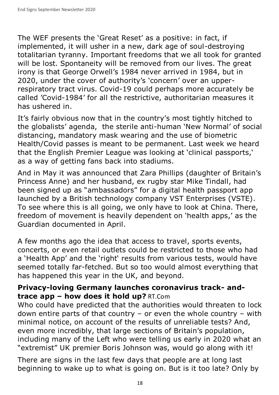The WEF presents the 'Great Reset' as a positive: in fact, if implemented, it will usher in a new, dark age of soul-destroying totalitarian tyranny. Important freedoms that we all took for granted will be lost. Spontaneity will be removed from our lives. The great irony is that George Orwell's 1984 never arrived in 1984, but in 2020, under the cover of authority's 'concern' over an upperrespiratory tract virus. Covid-19 could perhaps more accurately be called 'Covid-1984' for all the restrictive, authoritarian measures it has ushered in.

It's fairly obvious now that in the country's most tightly hitched to the globalists' agenda, the sterile anti-human 'New Normal' of social distancing, mandatory mask wearing and the use of biometric Health/Covid passes is meant to be permanent. Last week we heard that the English Premier League was looking at 'clinical passports,' as a way of getting fans back into stadiums.

And in May it was announced that Zara Phillips (daughter of Britain's Princess Anne) and her husband, ex rugby star Mike Tindall, had been signed up as "ambassadors" for a digital health passport app launched by a British technology company VST Enterprises (VSTE). To see where this is all going, we only have to look at China. There, freedom of movement is heavily dependent on 'health apps,' as the Guardian documented in April.

A few months ago the idea that access to travel, sports events, concerts, or even retail outlets could be restricted to those who had a 'Health App' and the 'right' results from various tests, would have seemed totally far-fetched. But so too would almost everything that has happened this year in the UK, and beyond.

#### **Privacy-loving Germany launches coronavirus track- andtrace app – how does it hold up?** RT.Com

Who could have predicted that the authorities would threaten to lock down entire parts of that country – or even the whole country – with minimal notice, on account of the results of unreliable tests? And, even more incredibly, that large sections of Britain's population, including many of the Left who were telling us early in 2020 what an "extremist" UK premier Boris Johnson was, would go along with it!

There are signs in the last few days that people are at long last beginning to wake up to what is going on. But is it too late? Only by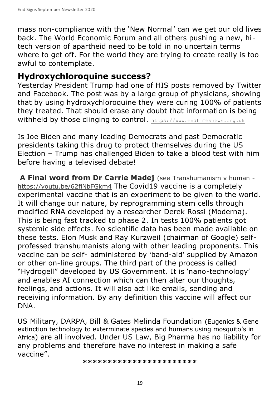mass non-compliance with the 'New Normal' can we get our old lives back. The World Economic Forum and all others pushing a new, hitech version of apartheid need to be told in no uncertain terms where to get off. For the world they are trying to create really is too awful to contemplate.

## **Hydroxychloroquine success?**

Yesterday President Trump had one of HIS posts removed by Twitter and Facebook. The post was by a large group of physicians, showing that by using hydroxychloroquine they were curing 100% of patients they treated. That should erase any doubt that information is being withheld by those clinging to control. https://www.endtimesnews.org.uk

Is Joe Biden and many leading Democrats and past Democratic presidents taking this drug to protect themselves during the US Election – Trump has challenged Biden to take a blood test with him before having a televised debate!

 **A Final word from Dr Carrie Madej** (see Transhumanism v human https://youtu.be/62fiNbFGkm4 The Covid19 vaccine is a completely experimental vaccine that is an experiment to be given to the world. It will change our nature, by reprogramming stem cells through modified RNA developed by a researcher Derek Rossi (Moderna). This is being fast tracked to phase 2. In tests 100% patients got systemic side effects. No scientific data has been made available on these tests. Elon Musk and Ray Kurzweil (chairman of Google) selfprofessed transhumanists along with other leading proponents. This vaccine can be self- administered by 'band-aid' supplied by Amazon or other on-line groups. The third part of the process is called "Hydrogell" developed by US Government. It is 'nano-technology' and enables AI connection which can then alter our thoughts, feelings, and actions. It will also act like emails, sending and receiving information. By any definition this vaccine will affect our DNA.

US Military, DARPA, Bill & Gates Melinda Foundation (Eugenics & Gene extinction technology to exterminate species and humans using mosquito's in Africa) are all involved. Under US Law, Big Pharma has no liability for any problems and therefore have no interest in making a safe vaccine".

**\*\*\*\*\*\*\*\*\*\*\*\*\*\*\*\*\*\*\*\*\*\*\***